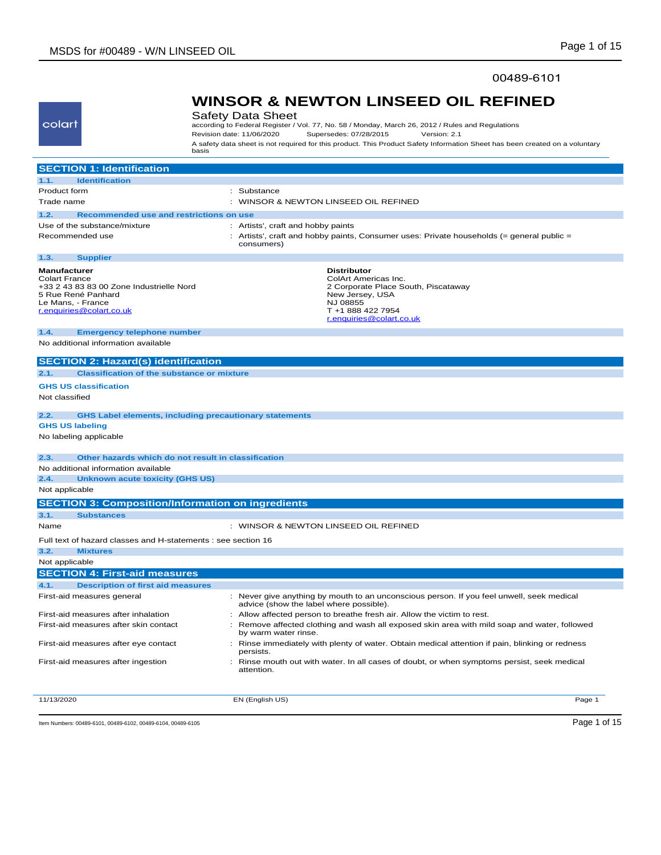### 00489-6101

# **WINSOR & NEWTON LINSEED OIL REFINED**

Safety Data Sheet according to Federal Register / Vol. 77, No. 58 / Monday, March 26, 2012 / Rules and Regulations<br>Revision date: 11/06/2020 Supersedes: 07/28/2015 Version: 2.1 Revision date: 11/06/2020 Supersedes: 07/28/2015 Version: 2.1 A safety data sheet is not required for this product. This Product Safety Information Sheet has been created on a voluntary basis

| <b>SECTION 1: Identification</b>                                      |                                                                                                                                      |
|-----------------------------------------------------------------------|--------------------------------------------------------------------------------------------------------------------------------------|
| <b>Identification</b><br>1.1.                                         |                                                                                                                                      |
| Product form                                                          | : Substance                                                                                                                          |
| Trade name                                                            | : WINSOR & NEWTON LINSEED OIL REFINED                                                                                                |
| <b>Recommended use and restrictions on use</b><br>1.2.                |                                                                                                                                      |
| Use of the substance/mixture                                          | : Artists', craft and hobby paints                                                                                                   |
| Recommended use                                                       | : Artists', craft and hobby paints, Consumer uses: Private households (= general public =                                            |
|                                                                       | consumers)                                                                                                                           |
| 1.3.<br><b>Supplier</b>                                               |                                                                                                                                      |
| <b>Manufacturer</b>                                                   | <b>Distributor</b>                                                                                                                   |
| <b>Colart France</b><br>+33 2 43 83 83 00 Zone Industrielle Nord      | ColArt Americas Inc.<br>2 Corporate Place South, Piscataway                                                                          |
| 5 Rue René Panhard                                                    | New Jersey, USA                                                                                                                      |
| Le Mans, - France                                                     | NJ 08855                                                                                                                             |
| r.enquiries@colart.co.uk                                              | T +1 888 422 7954<br>r.enguiries@colart.co.uk                                                                                        |
| 1.4.<br><b>Emergency telephone number</b>                             |                                                                                                                                      |
| No additional information available                                   |                                                                                                                                      |
|                                                                       |                                                                                                                                      |
| <b>SECTION 2: Hazard(s) identification</b>                            |                                                                                                                                      |
| <b>Classification of the substance or mixture</b><br>2.1.             |                                                                                                                                      |
| <b>GHS US classification</b>                                          |                                                                                                                                      |
| Not classified                                                        |                                                                                                                                      |
| <b>GHS Label elements, including precautionary statements</b><br>2.2. |                                                                                                                                      |
| <b>GHS US labeling</b>                                                |                                                                                                                                      |
| No labeling applicable                                                |                                                                                                                                      |
| Other hazards which do not result in classification<br>2.3.           |                                                                                                                                      |
| No additional information available                                   |                                                                                                                                      |
| 2.4.<br><b>Unknown acute toxicity (GHS US)</b>                        |                                                                                                                                      |
| Not applicable                                                        |                                                                                                                                      |
| <b>SECTION 3: Composition/Information on ingredients</b>              |                                                                                                                                      |
| 3.1.<br><b>Substances</b>                                             |                                                                                                                                      |
| Name                                                                  | : WINSOR & NEWTON LINSEED OIL REFINED                                                                                                |
|                                                                       |                                                                                                                                      |
| Full text of hazard classes and H-statements : see section 16         |                                                                                                                                      |
| 3.2.<br><b>Mixtures</b>                                               |                                                                                                                                      |
| Not applicable                                                        |                                                                                                                                      |
| <b>SECTION 4: First-aid measures</b>                                  |                                                                                                                                      |
| 4.1.<br><b>Description of first aid measures</b>                      |                                                                                                                                      |
| First-aid measures general                                            | : Never give anything by mouth to an unconscious person. If you feel unwell, seek medical<br>advice (show the label where possible). |
| First-aid measures after inhalation                                   | Allow affected person to breathe fresh air. Allow the victim to rest.                                                                |
| First-aid measures after skin contact                                 | Remove affected clothing and wash all exposed skin area with mild soap and water, followed<br>by warm water rinse.                   |
| First-aid measures after eye contact                                  | Rinse immediately with plenty of water. Obtain medical attention if pain, blinking or redness<br>persists.                           |
| First-aid measures after ingestion                                    | : Rinse mouth out with water. In all cases of doubt, or when symptoms persist, seek medical<br>attention.                            |
|                                                                       |                                                                                                                                      |
| 11/13/2020                                                            | EN (English US)<br>Page 1                                                                                                            |

Item Numbers: 00489-6101, 00489-6102, 00489-6104, 00489-6105 Page 1 of 15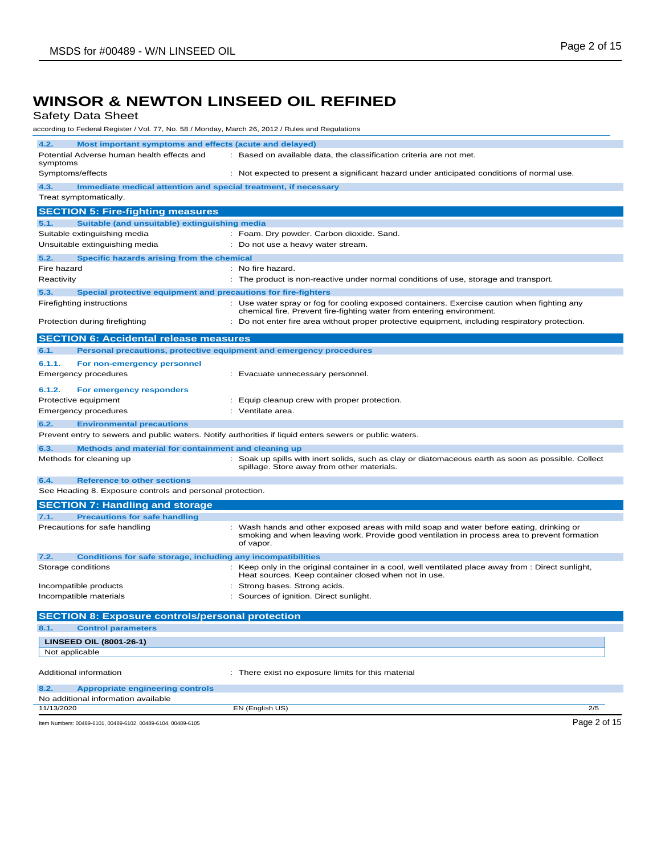Safety Data Sheet

according to Federal Register / Vol. 77, No. 58 / Monday, March 26, 2012 / Rules and Regulations

| 4.2.<br>Most important symptoms and effects (acute and delayed)                                   |                                                                                                                                                                      |
|---------------------------------------------------------------------------------------------------|----------------------------------------------------------------------------------------------------------------------------------------------------------------------|
| Potential Adverse human health effects and                                                        | : Based on available data, the classification criteria are not met.                                                                                                  |
| symptoms<br>Symptoms/effects                                                                      | : Not expected to present a significant hazard under anticipated conditions of normal use.                                                                           |
|                                                                                                   |                                                                                                                                                                      |
| 4.3.<br>Immediate medical attention and special treatment, if necessary<br>Treat symptomatically. |                                                                                                                                                                      |
|                                                                                                   |                                                                                                                                                                      |
| <b>SECTION 5: Fire-fighting measures</b>                                                          |                                                                                                                                                                      |
| 5.1.<br>Suitable (and unsuitable) extinguishing media                                             |                                                                                                                                                                      |
| Suitable extinguishing media                                                                      | : Foam. Dry powder. Carbon dioxide. Sand.                                                                                                                            |
| Unsuitable extinguishing media                                                                    | : Do not use a heavy water stream.                                                                                                                                   |
| 5.2.<br>Specific hazards arising from the chemical                                                |                                                                                                                                                                      |
| Fire hazard                                                                                       | : No fire hazard.                                                                                                                                                    |
| Reactivity                                                                                        | : The product is non-reactive under normal conditions of use, storage and transport.                                                                                 |
| 5.3.<br>Special protective equipment and precautions for fire-fighters                            |                                                                                                                                                                      |
| Firefighting instructions                                                                         | : Use water spray or fog for cooling exposed containers. Exercise caution when fighting any<br>chemical fire. Prevent fire-fighting water from entering environment. |
| Protection during firefighting                                                                    | : Do not enter fire area without proper protective equipment, including respiratory protection.                                                                      |
|                                                                                                   |                                                                                                                                                                      |
| <b>SECTION 6: Accidental release measures</b>                                                     |                                                                                                                                                                      |
| 6.1.                                                                                              | Personal precautions, protective equipment and emergency procedures                                                                                                  |
| 6.1.1.<br>For non-emergency personnel                                                             |                                                                                                                                                                      |
| <b>Emergency procedures</b>                                                                       | : Evacuate unnecessary personnel.                                                                                                                                    |
| 6.1.2.<br>For emergency responders                                                                |                                                                                                                                                                      |
| Protective equipment                                                                              | : Equip cleanup crew with proper protection.                                                                                                                         |
| <b>Emergency procedures</b>                                                                       | : Ventilate area.                                                                                                                                                    |
| 6.2.<br><b>Environmental precautions</b>                                                          |                                                                                                                                                                      |
|                                                                                                   | Prevent entry to sewers and public waters. Notify authorities if liquid enters sewers or public waters.                                                              |
| 6.3.<br>Methods and material for containment and cleaning up                                      |                                                                                                                                                                      |
| Methods for cleaning up                                                                           | : Soak up spills with inert solids, such as clay or diatomaceous earth as soon as possible. Collect                                                                  |
|                                                                                                   | spillage. Store away from other materials.                                                                                                                           |
| 6.4.<br><b>Reference to other sections</b>                                                        |                                                                                                                                                                      |
| See Heading 8. Exposure controls and personal protection.                                         |                                                                                                                                                                      |
| <b>SECTION 7: Handling and storage</b>                                                            |                                                                                                                                                                      |
| 7.1.<br><b>Precautions for safe handling</b>                                                      |                                                                                                                                                                      |
| Precautions for safe handling                                                                     | : Wash hands and other exposed areas with mild soap and water before eating, drinking or                                                                             |
|                                                                                                   | smoking and when leaving work. Provide good ventilation in process area to prevent formation<br>of vapor.                                                            |
|                                                                                                   |                                                                                                                                                                      |
| 7.2.<br><b>Conditions for safe storage, including any incompatibilities</b><br>Storage conditions | : Keep only in the original container in a cool, well ventilated place away from : Direct sunlight,                                                                  |
|                                                                                                   | Heat sources. Keep container closed when not in use.                                                                                                                 |
| Incompatible products                                                                             | : Strong bases. Strong acids.                                                                                                                                        |
| Incompatible materials                                                                            | : Sources of ignition. Direct sunlight.                                                                                                                              |
|                                                                                                   |                                                                                                                                                                      |
| <b>SECTION 8: Exposure controls/personal protection</b>                                           |                                                                                                                                                                      |
| 8.1.<br><b>Control parameters</b>                                                                 |                                                                                                                                                                      |
| <b>LINSEED OIL (8001-26-1)</b>                                                                    |                                                                                                                                                                      |
| Not applicable                                                                                    |                                                                                                                                                                      |
| Additional information                                                                            | : There exist no exposure limits for this material                                                                                                                   |
|                                                                                                   |                                                                                                                                                                      |
| 8.2.<br><b>Appropriate engineering controls</b>                                                   |                                                                                                                                                                      |
| No additional information available                                                               |                                                                                                                                                                      |
| 11/13/2020                                                                                        | EN (English US)<br>2/5                                                                                                                                               |
| Item Numbers: 00489-6101, 00489-6102, 00489-6104, 00489-6105                                      | Page 2 of 15                                                                                                                                                         |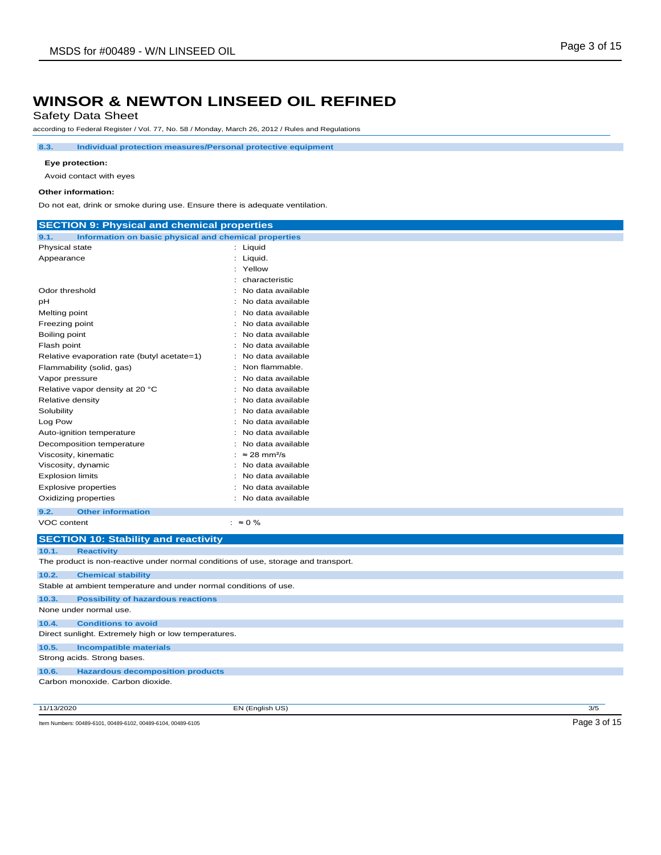Safety Data Sheet

according to Federal Register / Vol. 77, No. 58 / Monday, March 26, 2012 / Rules and Regulations

**8.3. Individual protection measures/Personal protective equipment**

#### **Eye protection:**

Avoid contact with eyes

#### **Other information:**

Do not eat, drink or smoke during use. Ensure there is adequate ventilation.

| <b>SECTION 9: Physical and chemical properties</b>                                 |                                   |     |
|------------------------------------------------------------------------------------|-----------------------------------|-----|
| Information on basic physical and chemical properties<br>9.1.                      |                                   |     |
| Physical state                                                                     | : Liquid                          |     |
| Appearance                                                                         | : Liquid.                         |     |
|                                                                                    | : Yellow                          |     |
|                                                                                    | characteristic                    |     |
| Odor threshold                                                                     | No data available                 |     |
| pН                                                                                 | No data available                 |     |
| Melting point                                                                      | : No data available               |     |
| Freezing point                                                                     | No data available                 |     |
| Boiling point                                                                      | No data available                 |     |
| Flash point                                                                        | No data available                 |     |
| Relative evaporation rate (butyl acetate=1)                                        | No data available                 |     |
| Flammability (solid, gas)                                                          | Non flammable.                    |     |
| Vapor pressure                                                                     | No data available                 |     |
| Relative vapor density at 20 °C                                                    | No data available                 |     |
| Relative density                                                                   | No data available                 |     |
| Solubility                                                                         | No data available                 |     |
| Log Pow                                                                            | No data available                 |     |
| Auto-ignition temperature                                                          | No data available                 |     |
| Decomposition temperature                                                          | No data available                 |     |
| Viscosity, kinematic                                                               | : $\approx$ 28 mm <sup>2</sup> /s |     |
| Viscosity, dynamic                                                                 | No data available                 |     |
| <b>Explosion limits</b>                                                            | No data available                 |     |
| <b>Explosive properties</b>                                                        | No data available                 |     |
| Oxidizing properties                                                               | : No data available               |     |
| 9.2.<br><b>Other information</b>                                                   |                                   |     |
| VOC content                                                                        | $: \approx 0 \%$                  |     |
| <b>SECTION 10: Stability and reactivity</b>                                        |                                   |     |
| 10.1.<br><b>Reactivity</b>                                                         |                                   |     |
| The product is non-reactive under normal conditions of use, storage and transport. |                                   |     |
|                                                                                    |                                   |     |
| 10.2.<br><b>Chemical stability</b>                                                 |                                   |     |
| Stable at ambient temperature and under normal conditions of use.                  |                                   |     |
| <b>Possibility of hazardous reactions</b><br>10.3.                                 |                                   |     |
| None under normal use.                                                             |                                   |     |
| <b>Conditions to avoid</b><br>10.4.                                                |                                   |     |
| Direct sunlight. Extremely high or low temperatures.                               |                                   |     |
| <b>Incompatible materials</b><br>10.5.                                             |                                   |     |
| Strong acids. Strong bases.                                                        |                                   |     |
| <b>Hazardous decomposition products</b><br>10.6.                                   |                                   |     |
| Carbon monoxide. Carbon dioxide.                                                   |                                   |     |
|                                                                                    |                                   |     |
|                                                                                    |                                   | 3/5 |
| 11/13/2020                                                                         | EN (English US)                   |     |

Item Numbers: 00489-6101, 00489-6102, 00489-6104, 00489-6105 Page 3 of 15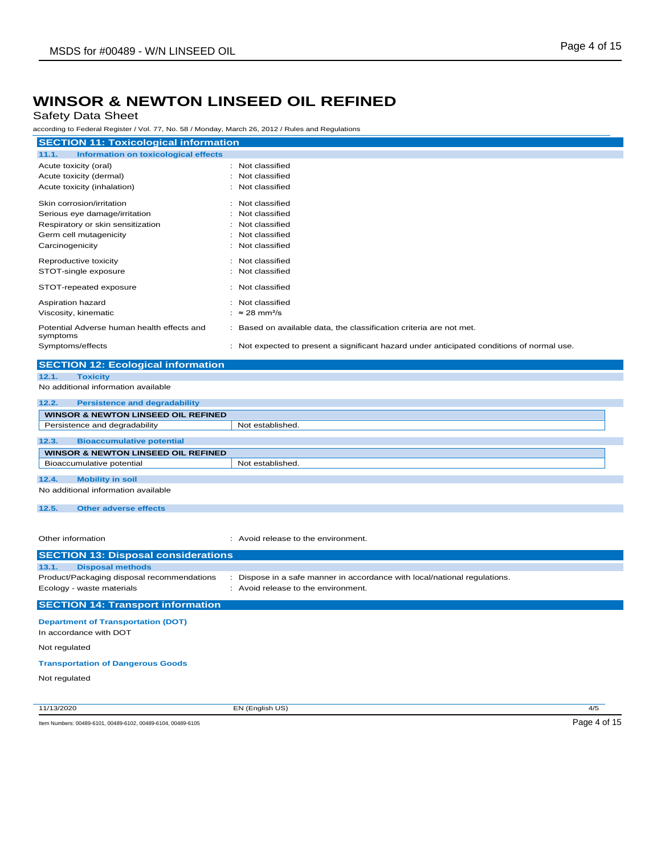## Safety Data Sheet

according to Federal Register / Vol. 77, No. 58 / Monday, March 26, 2012 / Rules and Regulations

| according to Federal Register / Vol. 77, No. 58 / Monday, March 26, 2012 / Rules and Regulations |                                                                                                                  |  |  |
|--------------------------------------------------------------------------------------------------|------------------------------------------------------------------------------------------------------------------|--|--|
| <b>SECTION 11: Toxicological information</b>                                                     |                                                                                                                  |  |  |
| 11.1.<br><b>Information on toxicological effects</b>                                             |                                                                                                                  |  |  |
| Acute toxicity (oral)                                                                            | : Not classified                                                                                                 |  |  |
| Acute toxicity (dermal)                                                                          | : Not classified                                                                                                 |  |  |
| Acute toxicity (inhalation)                                                                      | Not classified                                                                                                   |  |  |
| Skin corrosion/irritation                                                                        | : Not classified                                                                                                 |  |  |
| Serious eye damage/irritation                                                                    | Not classified                                                                                                   |  |  |
| Respiratory or skin sensitization                                                                | Not classified                                                                                                   |  |  |
| Germ cell mutagenicity                                                                           | Not classified                                                                                                   |  |  |
| Carcinogenicity                                                                                  | Not classified                                                                                                   |  |  |
| Reproductive toxicity                                                                            | : Not classified                                                                                                 |  |  |
| STOT-single exposure                                                                             | Not classified                                                                                                   |  |  |
| STOT-repeated exposure                                                                           | : Not classified                                                                                                 |  |  |
| Aspiration hazard                                                                                | : Not classified                                                                                                 |  |  |
| Viscosity, kinematic                                                                             | : ≈ 28 mm <sup>2</sup> /s                                                                                        |  |  |
| Potential Adverse human health effects and<br>symptoms                                           | : Based on available data, the classification criteria are not met.                                              |  |  |
| Symptoms/effects                                                                                 | : Not expected to present a significant hazard under anticipated conditions of normal use.                       |  |  |
|                                                                                                  |                                                                                                                  |  |  |
| <b>SECTION 12: Ecological information</b>                                                        |                                                                                                                  |  |  |
| 12.1.<br><b>Toxicity</b>                                                                         |                                                                                                                  |  |  |
| No additional information available                                                              |                                                                                                                  |  |  |
| 12.2.<br><b>Persistence and degradability</b>                                                    |                                                                                                                  |  |  |
| <b>WINSOR &amp; NEWTON LINSEED OIL REFINED</b>                                                   |                                                                                                                  |  |  |
| Persistence and degradability                                                                    | Not established.                                                                                                 |  |  |
| 12.3.<br><b>Bioaccumulative potential</b>                                                        |                                                                                                                  |  |  |
| <b>WINSOR &amp; NEWTON LINSEED OIL REFINED</b>                                                   |                                                                                                                  |  |  |
| Bioaccumulative potential                                                                        | Not established.                                                                                                 |  |  |
| 12.4.<br><b>Mobility in soil</b>                                                                 |                                                                                                                  |  |  |
| No additional information available                                                              |                                                                                                                  |  |  |
|                                                                                                  |                                                                                                                  |  |  |
| 12.5.<br><b>Other adverse effects</b>                                                            |                                                                                                                  |  |  |
|                                                                                                  |                                                                                                                  |  |  |
| Other information                                                                                | : Avoid release to the environment.                                                                              |  |  |
|                                                                                                  |                                                                                                                  |  |  |
| <b>SECTION 13: Disposal considerations</b>                                                       |                                                                                                                  |  |  |
| 13.1.<br><b>Disposal methods</b>                                                                 |                                                                                                                  |  |  |
| Product/Packaging disposal recommendations<br>Ecology - waste materials                          | : Dispose in a safe manner in accordance with local/national regulations.<br>: Avoid release to the environment. |  |  |
|                                                                                                  |                                                                                                                  |  |  |
| <b>SECTION 14: Transport information</b>                                                         |                                                                                                                  |  |  |
| <b>Department of Transportation (DOT)</b>                                                        |                                                                                                                  |  |  |
| In accordance with DOT                                                                           |                                                                                                                  |  |  |
| Not regulated                                                                                    |                                                                                                                  |  |  |
| <b>Transportation of Dangerous Goods</b>                                                         |                                                                                                                  |  |  |

Not regulated

11/13/2020 EN (English US) 4/5

Item Numbers: 00489-6101, 00489-6102, 00489-6104, 00489-6105 Page 4 of 15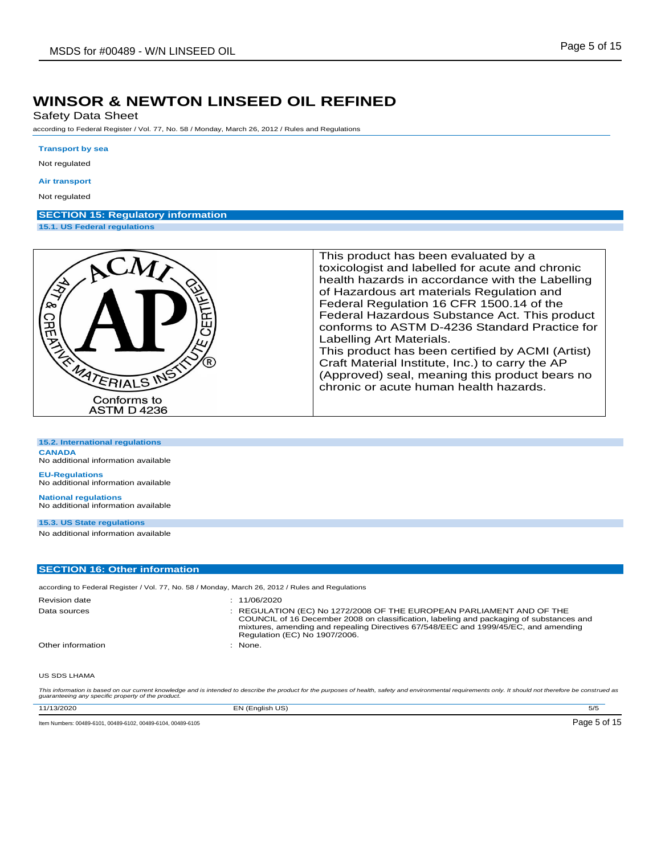Safety Data Sheet

according to Federal Register / Vol. 77, No. 58 / Monday, March 26, 2012 / Rules and Regulations

#### **Transport by sea**

Not regulated

#### **Air transport**

Not regulated

## **SECTION 15: Regulatory information**

**15.1. US Federal regulations**



| 15.2. International regulations |
|---------------------------------|
|---------------------------------|

**CANADA** No additional information available

**EU-Regulations** No additional information available

**National regulations** No additional information available

**15.3. US State regulations**

No additional information available

#### **SECTION 16: Other information**

according to Federal Register / Vol. 77, No. 58 / Monday, March 26, 2012 / Rules and Regulations

| <b>Revision date</b><br>Data sources | : 11/06/2020<br>: REGULATION (EC) No 1272/2008 OF THE EUROPEAN PARLIAMENT AND OF THE<br>COUNCIL of 16 December 2008 on classification, labeling and packaging of substances and<br>mixtures, amending and repealing Directives 67/548/EEC and 1999/45/EC, and amending<br>Regulation (EC) No 1907/2006. |
|--------------------------------------|---------------------------------------------------------------------------------------------------------------------------------------------------------------------------------------------------------------------------------------------------------------------------------------------------------|
| Other information                    | $:$ None.                                                                                                                                                                                                                                                                                               |
| US SDS LHAMA                         |                                                                                                                                                                                                                                                                                                         |

This information is based on our current knowledge and is intended to describe the product for the purposes of health, safety and environmental requirements only. It should not therefore be construed as<br>guaranteeing any sp

| 11/13/2020                                                   | EN (Enalish US) | 5/5          |
|--------------------------------------------------------------|-----------------|--------------|
| Item Numbers: 00489-6101, 00489-6102, 00489-6104, 00489-6105 |                 | Page 5 of 15 |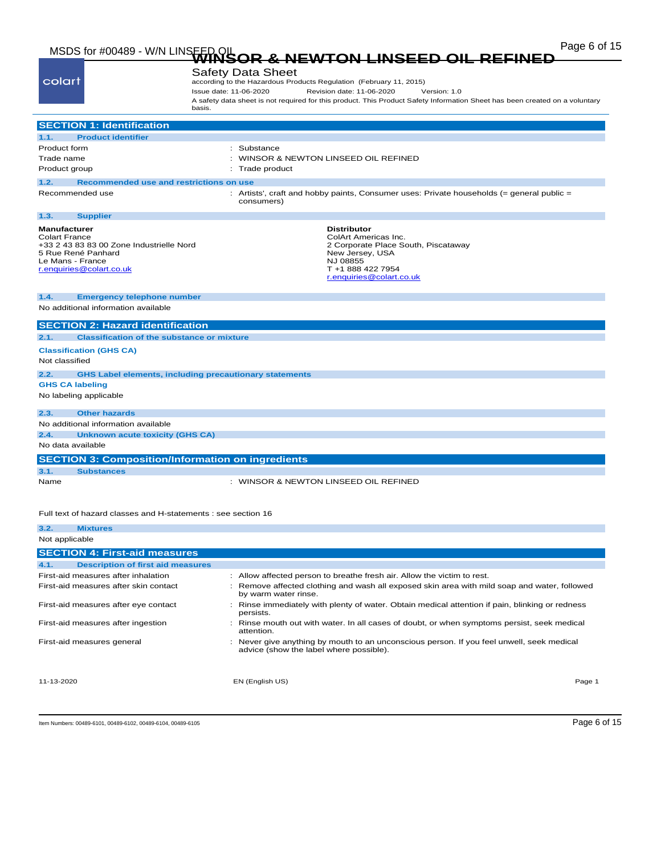# Page 6 of 15 MSDS for #00489 - W/N LINSEED OIL **WINSOR & NEWTON LINSEED OIL REFINED**

| colart                                                                                                                                                        | <b>Safety Data Sheet</b>                                                                                                                                          |  |  |
|---------------------------------------------------------------------------------------------------------------------------------------------------------------|-------------------------------------------------------------------------------------------------------------------------------------------------------------------|--|--|
|                                                                                                                                                               | according to the Hazardous Products Regulation (February 11, 2015)<br>Issue date: 11-06-2020<br>Revision date: 11-06-2020<br>Version: 1.0                         |  |  |
|                                                                                                                                                               | A safety data sheet is not required for this product. This Product Safety Information Sheet has been created on a voluntary                                       |  |  |
|                                                                                                                                                               | basis.                                                                                                                                                            |  |  |
| <b>SECTION 1: Identification</b>                                                                                                                              |                                                                                                                                                                   |  |  |
| <b>Product identifier</b><br>1.1.                                                                                                                             |                                                                                                                                                                   |  |  |
| Product form                                                                                                                                                  | : Substance                                                                                                                                                       |  |  |
| Trade name                                                                                                                                                    | WINSOR & NEWTON LINSEED OIL REFINED                                                                                                                               |  |  |
| Product group                                                                                                                                                 | Trade product                                                                                                                                                     |  |  |
| Recommended use and restrictions on use<br>1.2.                                                                                                               |                                                                                                                                                                   |  |  |
| Recommended use                                                                                                                                               | Artists', craft and hobby paints, Consumer uses: Private households (= general public =<br>consumers)                                                             |  |  |
| 1.3.<br><b>Supplier</b>                                                                                                                                       |                                                                                                                                                                   |  |  |
| <b>Manufacturer</b><br><b>Colart France</b><br>+33 2 43 83 83 00 Zone Industrielle Nord<br>5 Rue René Panhard<br>Le Mans - France<br>r.enquiries@colart.co.uk | <b>Distributor</b><br>ColArt Americas Inc.<br>2 Corporate Place South, Piscataway<br>New Jersey, USA<br>NJ 08855<br>T +1 888 422 7954<br>r.enquiries@colart.co.uk |  |  |
| 1.4.<br><b>Emergency telephone number</b>                                                                                                                     |                                                                                                                                                                   |  |  |
| No additional information available                                                                                                                           |                                                                                                                                                                   |  |  |
| <b>SECTION 2: Hazard identification</b>                                                                                                                       |                                                                                                                                                                   |  |  |
| 2.1.<br><b>Classification of the substance or mixture</b>                                                                                                     |                                                                                                                                                                   |  |  |
| <b>Classification (GHS CA)</b>                                                                                                                                |                                                                                                                                                                   |  |  |
| Not classified                                                                                                                                                |                                                                                                                                                                   |  |  |
| 2.2.                                                                                                                                                          | <b>GHS Label elements, including precautionary statements</b>                                                                                                     |  |  |
| <b>GHS CA labeling</b>                                                                                                                                        |                                                                                                                                                                   |  |  |
| No labeling applicable                                                                                                                                        |                                                                                                                                                                   |  |  |
| <b>Other hazards</b><br>2.3.                                                                                                                                  |                                                                                                                                                                   |  |  |
| No additional information available                                                                                                                           |                                                                                                                                                                   |  |  |
| 2.4.<br><b>Unknown acute toxicity (GHS CA)</b>                                                                                                                |                                                                                                                                                                   |  |  |
| No data available                                                                                                                                             |                                                                                                                                                                   |  |  |
| <b>SECTION 3: Composition/Information on ingredients</b>                                                                                                      |                                                                                                                                                                   |  |  |
| 3.1.<br><b>Substances</b>                                                                                                                                     |                                                                                                                                                                   |  |  |
| Name                                                                                                                                                          | : WINSOR & NEWTON LINSEED OIL REFINED                                                                                                                             |  |  |
|                                                                                                                                                               |                                                                                                                                                                   |  |  |
| Full text of hazard classes and H-statements : see section 16                                                                                                 |                                                                                                                                                                   |  |  |

| 3.2.           | <b>Mixtures</b>                          |                                                                                                                                      |        |
|----------------|------------------------------------------|--------------------------------------------------------------------------------------------------------------------------------------|--------|
| Not applicable |                                          |                                                                                                                                      |        |
|                | <b>SECTION 4: First-aid measures</b>     |                                                                                                                                      |        |
| 4.1.           | <b>Description of first aid measures</b> |                                                                                                                                      |        |
|                | First-aid measures after inhalation      | : Allow affected person to breathe fresh air. Allow the victim to rest.                                                              |        |
|                | First-aid measures after skin contact    | : Remove affected clothing and wash all exposed skin area with mild soap and water, followed<br>by warm water rinse.                 |        |
|                | First-aid measures after eye contact     | Rinse immediately with plenty of water. Obtain medical attention if pain, blinking or redness<br>persists.                           |        |
|                | First-aid measures after ingestion       | Rinse mouth out with water. In all cases of doubt, or when symptoms persist, seek medical<br>attention.                              |        |
|                | First-aid measures general               | : Never give anything by mouth to an unconscious person. If you feel unwell, seek medical<br>advice (show the label where possible). |        |
| 11-13-2020     |                                          | EN (English US)                                                                                                                      | Page 1 |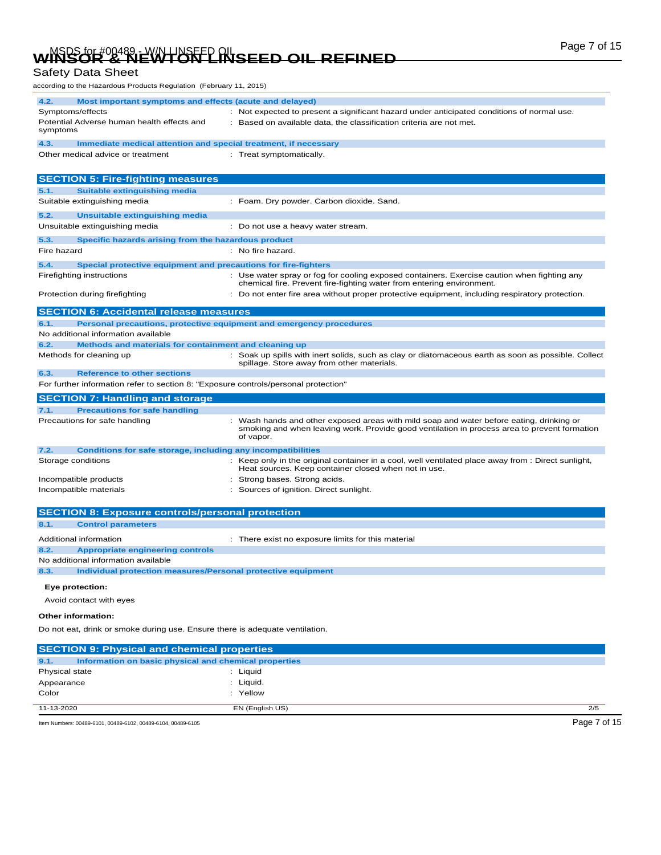# Page 7 of 15 MSDS for #00489 - W/N LINSEED OIL **WINSOR & NEWTON LINSEED OIL REFINED**

## Safety Data Sheet

according to the Hazardous Products Regulation (February 11, 2015)

| 4.2.<br>Most important symptoms and effects (acute and delayed)                     |                                                                                                                                                                                                       |
|-------------------------------------------------------------------------------------|-------------------------------------------------------------------------------------------------------------------------------------------------------------------------------------------------------|
| Symptoms/effects                                                                    | : Not expected to present a significant hazard under anticipated conditions of normal use.                                                                                                            |
| Potential Adverse human health effects and<br>symptoms                              | : Based on available data, the classification criteria are not met.                                                                                                                                   |
| 4.3.<br>Immediate medical attention and special treatment, if necessary             |                                                                                                                                                                                                       |
| Other medical advice or treatment                                                   | : Treat symptomatically.                                                                                                                                                                              |
|                                                                                     |                                                                                                                                                                                                       |
| <b>SECTION 5: Fire-fighting measures</b>                                            |                                                                                                                                                                                                       |
| <b>Suitable extinguishing media</b><br>5.1.                                         |                                                                                                                                                                                                       |
| Suitable extinguishing media                                                        | : Foam. Dry powder. Carbon dioxide. Sand.                                                                                                                                                             |
| Unsuitable extinguishing media<br>5.2.                                              |                                                                                                                                                                                                       |
| Unsuitable extinguishing media                                                      | : Do not use a heavy water stream.                                                                                                                                                                    |
|                                                                                     |                                                                                                                                                                                                       |
| 5.3.<br>Specific hazards arising from the hazardous product                         |                                                                                                                                                                                                       |
| Fire hazard                                                                         | : No fire hazard.                                                                                                                                                                                     |
| 5.4.<br>Special protective equipment and precautions for fire-fighters              |                                                                                                                                                                                                       |
| Firefighting instructions                                                           | Use water spray or fog for cooling exposed containers. Exercise caution when fighting any<br>chemical fire. Prevent fire-fighting water from entering environment.                                    |
| Protection during firefighting                                                      | : Do not enter fire area without proper protective equipment, including respiratory protection.                                                                                                       |
| <b>SECTION 6: Accidental release measures</b>                                       |                                                                                                                                                                                                       |
| Personal precautions, protective equipment and emergency procedures<br>6.1.         |                                                                                                                                                                                                       |
| No additional information available                                                 |                                                                                                                                                                                                       |
| Methods and materials for containment and cleaning up<br>6.2.                       |                                                                                                                                                                                                       |
| Methods for cleaning up                                                             | : Soak up spills with inert solids, such as clay or diatomaceous earth as soon as possible. Collect                                                                                                   |
|                                                                                     | spillage. Store away from other materials.                                                                                                                                                            |
| 6.3.<br><b>Reference to other sections</b>                                          |                                                                                                                                                                                                       |
| For further information refer to section 8: "Exposure controls/personal protection" |                                                                                                                                                                                                       |
|                                                                                     |                                                                                                                                                                                                       |
| <b>SECTION 7: Handling and storage</b>                                              |                                                                                                                                                                                                       |
| 7.1.<br><b>Precautions for safe handling</b>                                        |                                                                                                                                                                                                       |
| Precautions for safe handling                                                       | : Wash hands and other exposed areas with mild soap and water before eating, drinking or<br>smoking and when leaving work. Provide good ventilation in process area to prevent formation<br>of vapor. |
| <b>Conditions for safe storage, including any incompatibilities</b><br>7.2.         |                                                                                                                                                                                                       |
| Storage conditions                                                                  | : Keep only in the original container in a cool, well ventilated place away from : Direct sunlight,<br>Heat sources. Keep container closed when not in use.                                           |
| Incompatible products                                                               | Strong bases. Strong acids.                                                                                                                                                                           |
| Incompatible materials                                                              | Sources of ignition. Direct sunlight.                                                                                                                                                                 |
|                                                                                     |                                                                                                                                                                                                       |
| <b>SECTION 8: Exposure controls/personal protection</b>                             |                                                                                                                                                                                                       |
| <b>Control parameters</b><br>8.1.                                                   |                                                                                                                                                                                                       |
| Additional information                                                              | : There exist no exposure limits for this material                                                                                                                                                    |
| 8.2.<br><b>Appropriate engineering controls</b>                                     |                                                                                                                                                                                                       |
| No additional information available                                                 |                                                                                                                                                                                                       |
| 8.3.<br>Individual protection measures/Personal protective equipment                |                                                                                                                                                                                                       |
| Eye protection:                                                                     |                                                                                                                                                                                                       |
| Avoid contact with eyes                                                             |                                                                                                                                                                                                       |
| Other information:                                                                  |                                                                                                                                                                                                       |
| Do not eat, drink or smoke during use. Ensure there is adequate ventilation.        |                                                                                                                                                                                                       |
|                                                                                     |                                                                                                                                                                                                       |
| <b>SECTION 9: Physical and chemical properties</b><br>9.1.                          |                                                                                                                                                                                                       |
| Information on basic physical and chemical properties<br>Physical state             | : Liquid                                                                                                                                                                                              |

Item Numbers: 00489-6101, 00489-6102, 00489-6104, 00489-6105 Page 7 of 15

Color : Yellow

11-13-2020 EN (English US) 2/5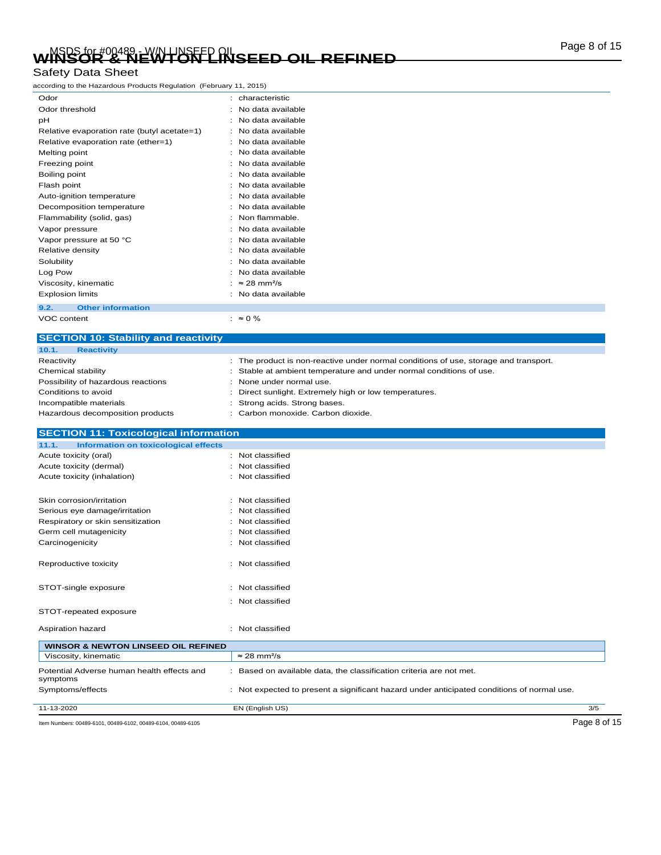# Page 8 of 15 MSDS for #00489 - W/N LINSEED OIL **WINSOR & NEWTON LINSEED OIL REFINED**

### Safety Data Sheet

according to the Hazardous Products Regulation (February 11, 2015)

| Odor                                        |   | · characteristic                |
|---------------------------------------------|---|---------------------------------|
| Odor threshold                              |   | No data available               |
| рH                                          |   | No data available               |
| Relative evaporation rate (butyl acetate=1) |   | No data available               |
| Relative evaporation rate (ether=1)         | t | No data available               |
| Melting point                               | ٠ | No data available               |
| Freezing point                              |   | No data available               |
| Boiling point                               |   | No data available               |
| Flash point                                 |   | No data available               |
| Auto-ignition temperature                   | ۰ | No data available               |
| Decomposition temperature                   | ۰ | No data available               |
| Flammability (solid, gas)                   | ٠ | Non flammable.                  |
| Vapor pressure                              |   | No data available               |
| Vapor pressure at 50 °C                     |   | No data available               |
| Relative density                            |   | No data available               |
| Solubility                                  |   | No data available               |
| Log Pow                                     |   | No data available               |
| Viscosity, kinematic                        | ٠ | $\approx$ 28 mm <sup>2</sup> /s |
| <b>Explosion limits</b>                     |   | No data available               |
| <b>Other information</b><br>9.2.            |   |                                 |

VOC content :  $\approx 0\%$ 

**SECTION 10: Stability and reactivity 10.1. Reactivity** Reactivity **Example 20** The product is non-reactive under normal conditions of use, storage and transport. Chemical stability **Stable at ambient temperature and under normal conditions of use.** Stable at ambient temperature and under normal conditions of use. Possibility of hazardous reactions : None under normal use. Conditions to avoid **interval of the Conditions to avoid interval of the Conditions of the Conditions of Conditions**  $\sim$  Direct sunlight. Extremely high or low temperatures. Incompatible materials **incompatible materials incompatible materials incompatible materials incompatible incompatible** materials Hazardous decomposition products : Carbon monoxide. Carbon dioxide.

## **SECTION 11: Toxicological information 11.1. Information on toxicological effects** Acute toxicity (oral) **interval**  $\sim$  100 Mot classified Acute toxicity (dermal) **Example 2** and the classified in the classified Acute toxicity (inhalation) : Not classified Skin corrosion/irritation in the set of the set of the Skin corrosion/irritation Serious eye damage/irritation : Not classified Respiratory or skin sensitization : Not classified Germ cell mutagenicity **in the case of the Contract Contract Contract Contract Contract Contract Contract Contract Contract Contract Contract Contract Contract Contract Contract Contract Contract Contract Contract Contract** Carcinogenicity **Carcinogenicity** : Not classified Reproductive toxicity **in the contract of the CRS** in Not classified STOT-single exposure in the state of the state of the STOT-single exposure STOT-repeated exposure : Not classified

| Aspiration hazard                                      | Not classified                                                                           |     |
|--------------------------------------------------------|------------------------------------------------------------------------------------------|-----|
| <b>WINSOR &amp; NEWTON LINSEED OIL REFINED</b>         |                                                                                          |     |
| Viscosity, kinematic                                   | $\approx$ 28 mm <sup>2</sup> /s                                                          |     |
| Potential Adverse human health effects and<br>symptoms | Based on available data, the classification criteria are not met.                        |     |
| Symptoms/effects                                       | Not expected to present a significant hazard under anticipated conditions of normal use. |     |
| 11-13-2020                                             | EN (English US)                                                                          | 3/5 |

Item Numbers: 00489-6101, 00489-6102, 00489-6104, 00489-6105 Page 8 of 15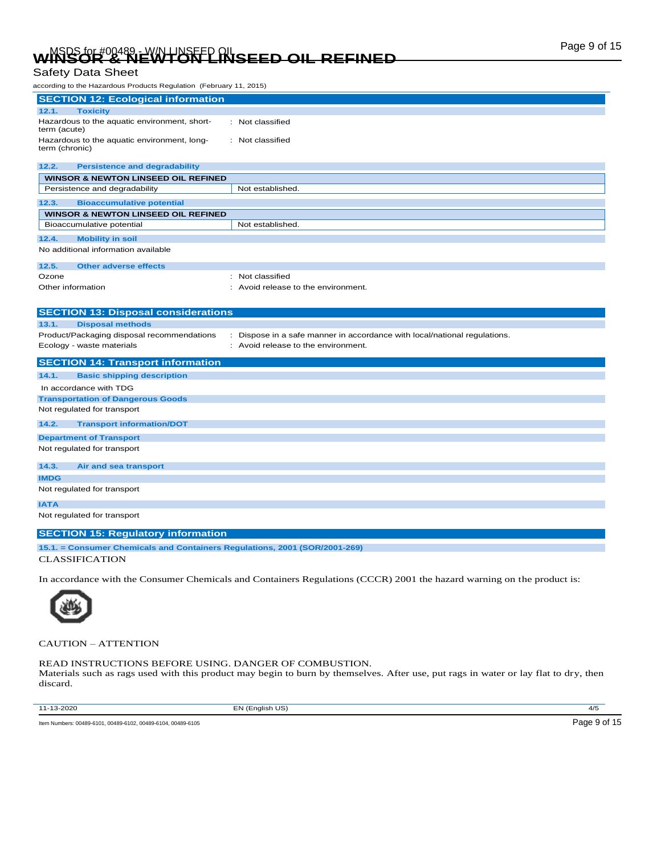# Page 9 of 15 MSDS for #00489 - W/N LINSEED OIL **WINSOR & NEWTON LINSEED OIL REFINED**

### Safety Data Sheet

| according to the Hazardous Products Regulation (February 11, 2015) |                                                                           |  |  |
|--------------------------------------------------------------------|---------------------------------------------------------------------------|--|--|
| <b>SECTION 12: Ecological information</b>                          |                                                                           |  |  |
| 12.1.<br><b>Toxicity</b>                                           |                                                                           |  |  |
| Hazardous to the aquatic environment, short-<br>term (acute)       | : Not classified                                                          |  |  |
| Hazardous to the aquatic environment, long-<br>term (chronic)      | : Not classified                                                          |  |  |
| 12.2.<br><b>Persistence and degradability</b>                      |                                                                           |  |  |
| <b>WINSOR &amp; NEWTON LINSEED OIL REFINED</b>                     |                                                                           |  |  |
| Persistence and degradability                                      | Not established.                                                          |  |  |
| 12.3.<br><b>Bioaccumulative potential</b>                          |                                                                           |  |  |
| <b>WINSOR &amp; NEWTON LINSEED OIL REFINED</b>                     |                                                                           |  |  |
| Bioaccumulative potential                                          | Not established.                                                          |  |  |
| 12.4.<br><b>Mobility in soil</b>                                   |                                                                           |  |  |
| No additional information available                                |                                                                           |  |  |
|                                                                    |                                                                           |  |  |
| 12.5.<br><b>Other adverse effects</b>                              |                                                                           |  |  |
| Ozone                                                              | : Not classified                                                          |  |  |
| Other information                                                  | : Avoid release to the environment.                                       |  |  |
|                                                                    |                                                                           |  |  |
|                                                                    |                                                                           |  |  |
| <b>SECTION 13: Disposal considerations</b>                         |                                                                           |  |  |
| 13.1.<br><b>Disposal methods</b>                                   |                                                                           |  |  |
| Product/Packaging disposal recommendations                         | : Dispose in a safe manner in accordance with local/national regulations. |  |  |
| Ecology - waste materials                                          | : Avoid release to the environment.                                       |  |  |
| <b>SECTION 14: Transport information</b>                           |                                                                           |  |  |
| 14.1.<br><b>Basic shipping description</b>                         |                                                                           |  |  |
| In accordance with TDG                                             |                                                                           |  |  |
| <b>Transportation of Dangerous Goods</b>                           |                                                                           |  |  |
| Not regulated for transport                                        |                                                                           |  |  |
| 14.2.<br><b>Transport information/DOT</b>                          |                                                                           |  |  |
| <b>Department of Transport</b>                                     |                                                                           |  |  |
| Not regulated for transport                                        |                                                                           |  |  |
| 14.3.<br>Air and sea transport                                     |                                                                           |  |  |
| <b>IMDG</b>                                                        |                                                                           |  |  |
| Not regulated for transport                                        |                                                                           |  |  |
| <b>IATA</b>                                                        |                                                                           |  |  |
| Not regulated for transport                                        |                                                                           |  |  |

**15.1. = Consumer Chemicals and Containers Regulations, 2001 (SOR/2001-269)**

CLASSIFICATION

In accordance with the Consumer Chemicals and Containers Regulations (CCCR) 2001 the hazard warning on the product is:



CAUTION – ATTENTION

READ INSTRUCTIONS BEFORE USING. DANGER OF COMBUSTION. Materials such as rags used with this product may begin to burn by themselves. After use, put rags in water or lay flat to dry, then discard.

11-13-2020 EN (English US) 4/5

Item Numbers: 00489-6101, 00489-6102, 00489-6104, 00489-6105 Page 9 of 15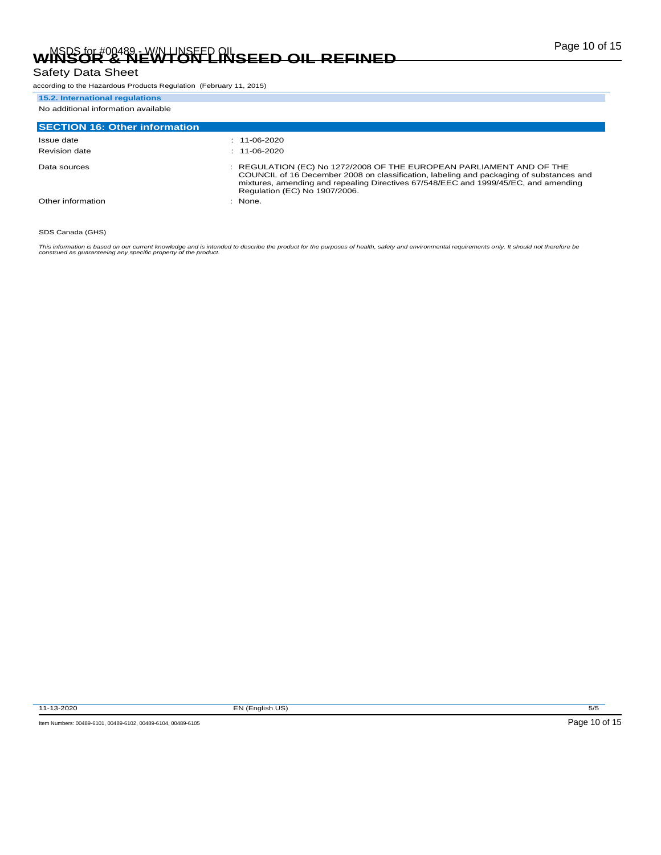### Safety Data Sheet

according to the Hazardous Products Regulation (February 11, 2015)

### **15.2. International regulations** No additional information available

| <b>SECTION 16: Other information</b> |                                                                                                                                                                                                                                                                                         |
|--------------------------------------|-----------------------------------------------------------------------------------------------------------------------------------------------------------------------------------------------------------------------------------------------------------------------------------------|
| Issue date                           | $: 11-06-2020$                                                                                                                                                                                                                                                                          |
| Revision date                        | $: 11-06-2020$                                                                                                                                                                                                                                                                          |
| Data sources                         | : REGULATION (EC) No 1272/2008 OF THE EUROPEAN PARLIAMENT AND OF THE<br>COUNCIL of 16 December 2008 on classification, labeling and packaging of substances and<br>mixtures, amending and repealing Directives 67/548/EEC and 1999/45/EC, and amending<br>Regulation (EC) No 1907/2006. |
| Other information                    | $:$ None.                                                                                                                                                                                                                                                                               |

#### SDS Canada (GHS)

This information is based on our current knowledge and is intended to describe the product for the purposes of health, safety and environmental requirements only. It should not therefore be<br>construed as guaranteeing any sp

11-13-2020 EN (English US) 5/5



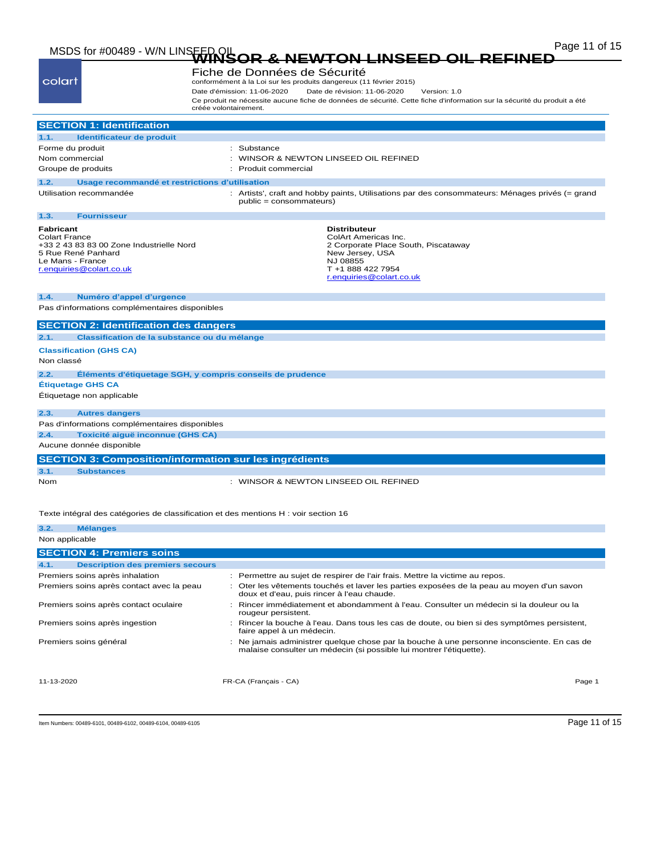# Page 11 of 15 MSDS for #00489 - W/N LINSEED OIL **WINSOR & NEWTON LINSEED OIL REFINED**

| colart                                                |                                                                                            | créée volontairement. | Fiche de Données de Sécurité<br>Date d'émission: 11-06-2020 | conformément à la Loi sur les produits dangereux (11 février 2015)<br>Date de révision: 11-06-2020<br>Version: 1.0<br>Ce produit ne nécessite aucune fiche de données de sécurité. Cette fiche d'information sur la sécurité du produit a été |
|-------------------------------------------------------|--------------------------------------------------------------------------------------------|-----------------------|-------------------------------------------------------------|-----------------------------------------------------------------------------------------------------------------------------------------------------------------------------------------------------------------------------------------------|
|                                                       | <b>SECTION 1: Identification</b>                                                           |                       |                                                             |                                                                                                                                                                                                                                               |
| 1.1.                                                  | Identificateur de produit                                                                  |                       |                                                             |                                                                                                                                                                                                                                               |
| Forme du produit                                      |                                                                                            |                       | Substance                                                   |                                                                                                                                                                                                                                               |
| Nom commercial                                        |                                                                                            |                       |                                                             | WINSOR & NEWTON LINSEED OIL REFINED                                                                                                                                                                                                           |
| Groupe de produits                                    |                                                                                            |                       | Produit commercial                                          |                                                                                                                                                                                                                                               |
| 1.2.                                                  | Usage recommandé et restrictions d'utilisation                                             |                       |                                                             |                                                                                                                                                                                                                                               |
|                                                       | Utilisation recommandée                                                                    |                       | public = consommateurs)                                     | : Artists', craft and hobby paints, Utilisations par des consommateurs: Ménages privés (= grand                                                                                                                                               |
| 1.3.                                                  | <b>Fournisseur</b>                                                                         |                       |                                                             |                                                                                                                                                                                                                                               |
| Fabricant<br><b>Colart France</b><br>Le Mans - France | +33 2 43 83 83 00 Zone Industrielle Nord<br>5 Rue René Panhard<br>r.enquiries@colart.co.uk |                       |                                                             | <b>Distributeur</b><br>ColArt Americas Inc.<br>2 Corporate Place South, Piscataway<br>New Jersey, USA<br>NJ 08855<br>T +1 888 422 7954<br>r.enquiries@colart.co.uk                                                                            |
| 1.4.                                                  | Numéro d'appel d'urgence                                                                   |                       |                                                             |                                                                                                                                                                                                                                               |
|                                                       | Pas d'informations complémentaires disponibles                                             |                       |                                                             |                                                                                                                                                                                                                                               |
|                                                       | <b>SECTION 2: Identification des dangers</b>                                               |                       |                                                             |                                                                                                                                                                                                                                               |
| 2.1.                                                  | Classification de la substance ou du mélange                                               |                       |                                                             |                                                                                                                                                                                                                                               |
|                                                       |                                                                                            |                       |                                                             |                                                                                                                                                                                                                                               |
| Non classé                                            | <b>Classification (GHS CA)</b>                                                             |                       |                                                             |                                                                                                                                                                                                                                               |
| 2.2.                                                  | Éléments d'étiquetage SGH, y compris conseils de prudence                                  |                       |                                                             |                                                                                                                                                                                                                                               |
|                                                       | <b>Étiquetage GHS CA</b>                                                                   |                       |                                                             |                                                                                                                                                                                                                                               |
|                                                       | Étiquetage non applicable                                                                  |                       |                                                             |                                                                                                                                                                                                                                               |
|                                                       |                                                                                            |                       |                                                             |                                                                                                                                                                                                                                               |
| 2.3.                                                  | <b>Autres dangers</b>                                                                      |                       |                                                             |                                                                                                                                                                                                                                               |
|                                                       | Pas d'informations complémentaires disponibles                                             |                       |                                                             |                                                                                                                                                                                                                                               |
| 2.4.                                                  | Toxicité aiguë inconnue (GHS CA)                                                           |                       |                                                             |                                                                                                                                                                                                                                               |
|                                                       | Aucune donnée disponible                                                                   |                       |                                                             |                                                                                                                                                                                                                                               |
|                                                       | <b>SECTION 3: Composition/information sur les ingrédients</b>                              |                       |                                                             |                                                                                                                                                                                                                                               |
| 3.1.                                                  | <b>Substances</b>                                                                          |                       |                                                             |                                                                                                                                                                                                                                               |
| Nom                                                   |                                                                                            |                       |                                                             | : WINSOR & NEWTON LINSEED OIL REFINED                                                                                                                                                                                                         |
|                                                       | Texte intégral des catégories de classification et des mentions H : voir section 16        |                       |                                                             |                                                                                                                                                                                                                                               |
| 3.2.                                                  | <b>Mélanges</b>                                                                            |                       |                                                             |                                                                                                                                                                                                                                               |
| Non applicable                                        |                                                                                            |                       |                                                             |                                                                                                                                                                                                                                               |

| Non applicable                                  |                                                                                                                                                                   |        |
|-------------------------------------------------|-------------------------------------------------------------------------------------------------------------------------------------------------------------------|--------|
| <b>SECTION 4: Premiers soins</b>                |                                                                                                                                                                   |        |
| <b>Description des premiers secours</b><br>4.1. |                                                                                                                                                                   |        |
| Premiers soins après inhalation                 | : Permettre au sujet de respirer de l'air frais. Mettre la victime au repos.                                                                                      |        |
| Premiers soins après contact avec la peau       | : Oter les vêtements touchés et laver les parties exposées de la peau au moyen d'un savon<br>doux et d'eau, puis rincer à l'eau chaude.                           |        |
| Premiers soins après contact oculaire           | Rincer immédiatement et abondamment à l'eau. Consulter un médecin si la douleur ou la<br>rougeur persistent.                                                      |        |
| Premiers soins après ingestion                  | Rincer la bouche à l'eau. Dans tous les cas de doute, ou bien si des symptômes persistent,<br>faire appel à un médecin.                                           |        |
| Premiers soins général                          | : Ne jamais administrer quelque chose par la bouche à une personne inconsciente. En cas de<br>malaise consulter un médecin (si possible lui montrer l'étiquette). |        |
| 11-13-2020                                      | FR-CA (Français - CA)                                                                                                                                             | Page 1 |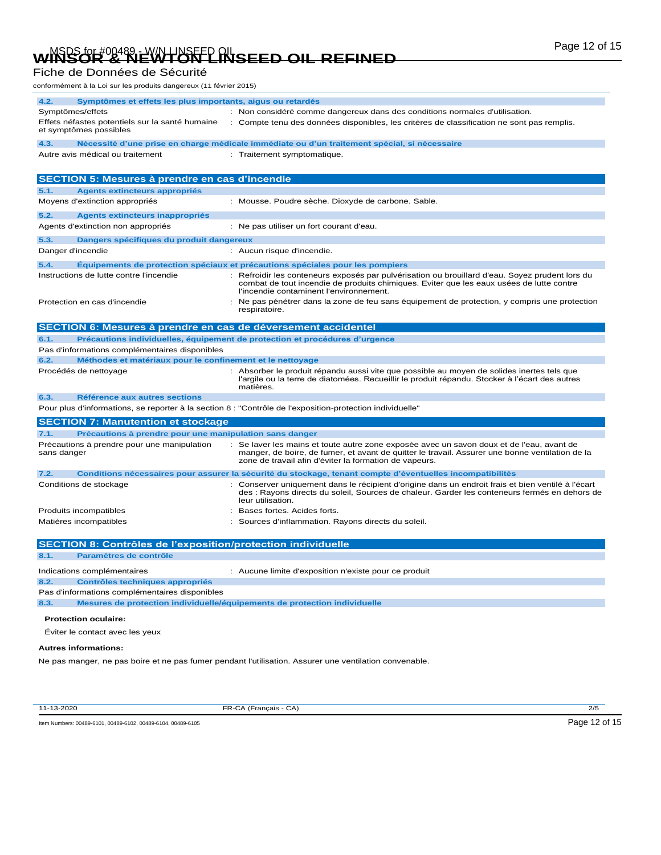# Page 12 of 15 MSDS for #00489 - W/N LINSEED OIL **WINSOR & NEWTON LINSEED OIL REFINED**

Fiche de Données de Sécurité

| conformément à la Loi sur les produits dangereux (11 février 2015)                               |                                                                                                                                                                                                                                                        |
|--------------------------------------------------------------------------------------------------|--------------------------------------------------------------------------------------------------------------------------------------------------------------------------------------------------------------------------------------------------------|
| 4.2.<br>Symptômes et effets les plus importants, aigus ou retardés                               |                                                                                                                                                                                                                                                        |
| Symptômes/effets                                                                                 | : Non considéré comme dangereux dans des conditions normales d'utilisation.                                                                                                                                                                            |
| Effets néfastes potentiels sur la santé humaine<br>et symptômes possibles                        | : Compte tenu des données disponibles, les critères de classification ne sont pas remplis.                                                                                                                                                             |
| 4.3.                                                                                             | Nécessité d'une prise en charge médicale immédiate ou d'un traitement spécial, si nécessaire                                                                                                                                                           |
| Autre avis médical ou traitement                                                                 | : Traitement symptomatique.                                                                                                                                                                                                                            |
|                                                                                                  |                                                                                                                                                                                                                                                        |
| SECTION 5: Mesures à prendre en cas d'incendie                                                   |                                                                                                                                                                                                                                                        |
| 5.1.<br><b>Agents extincteurs appropriés</b>                                                     |                                                                                                                                                                                                                                                        |
| Moyens d'extinction appropriés                                                                   | : Mousse. Poudre sèche. Dioxyde de carbone. Sable.                                                                                                                                                                                                     |
| 5.2.<br><b>Agents extincteurs inappropriés</b>                                                   |                                                                                                                                                                                                                                                        |
| Agents d'extinction non appropriés                                                               | : Ne pas utiliser un fort courant d'eau.                                                                                                                                                                                                               |
| 5.3.<br>Dangers spécifiques du produit dangereux                                                 |                                                                                                                                                                                                                                                        |
| Danger d'incendie                                                                                | : Aucun risque d'incendie.                                                                                                                                                                                                                             |
| 5.4.                                                                                             | Équipements de protection spéciaux et précautions spéciales pour les pompiers                                                                                                                                                                          |
| Instructions de lutte contre l'incendie                                                          | Refroidir les conteneurs exposés par pulvérisation ou brouillard d'eau. Soyez prudent lors du<br>combat de tout incendie de produits chimiques. Eviter que les eaux usées de lutte contre<br>l'incendie contaminent l'environnement.                   |
| Protection en cas d'incendie                                                                     | Ne pas pénétrer dans la zone de feu sans équipement de protection, y compris une protection<br>respiratoire.                                                                                                                                           |
| SECTION 6: Mesures à prendre en cas de déversement accidentel                                    |                                                                                                                                                                                                                                                        |
| 6.1.                                                                                             | Précautions individuelles, équipement de protection et procédures d'urgence                                                                                                                                                                            |
| Pas d'informations complémentaires disponibles                                                   |                                                                                                                                                                                                                                                        |
| Méthodes et matériaux pour le confinement et le nettoyage<br>6.2.                                |                                                                                                                                                                                                                                                        |
| Procédés de nettoyage                                                                            | : Absorber le produit répandu aussi vite que possible au moyen de solides inertes tels que<br>l'argile ou la terre de diatomées. Recueillir le produit répandu. Stocker à l'écart des autres<br>matières.                                              |
| 6.3.<br>Référence aux autres sections                                                            |                                                                                                                                                                                                                                                        |
|                                                                                                  | Pour plus d'informations, se reporter à la section 8 : "Contrôle de l'exposition-protection individuelle"                                                                                                                                              |
| <b>SECTION 7: Manutention et stockage</b>                                                        |                                                                                                                                                                                                                                                        |
| 7.1.<br>Précautions à prendre pour une manipulation sans danger                                  |                                                                                                                                                                                                                                                        |
| Précautions à prendre pour une manipulation<br>sans danger                                       | : Se laver les mains et toute autre zone exposée avec un savon doux et de l'eau, avant de<br>manger, de boire, de fumer, et avant de quitter le travail. Assurer une bonne ventilation de la<br>zone de travail afin d'éviter la formation de vapeurs. |
| 7.2.                                                                                             | Conditions nécessaires pour assurer la sécurité du stockage, tenant compte d'éventuelles incompatibilités                                                                                                                                              |
| Conditions de stockage                                                                           | Conserver uniquement dans le récipient d'origine dans un endroit frais et bien ventilé à l'écart<br>des : Rayons directs du soleil, Sources de chaleur. Garder les conteneurs fermés en dehors de<br>leur utilisation.                                 |
| Produits incompatibles                                                                           | Bases fortes. Acides forts.                                                                                                                                                                                                                            |
| Matières incompatibles                                                                           | Sources d'inflammation. Rayons directs du soleil.                                                                                                                                                                                                      |
| <b>SECTION 8: Contrôles de l'exposition/protection individuelle</b>                              |                                                                                                                                                                                                                                                        |
| Paramètres de contrôle<br>8.1.                                                                   |                                                                                                                                                                                                                                                        |
|                                                                                                  |                                                                                                                                                                                                                                                        |
| Indications complémentaires                                                                      | : Aucune limite d'exposition n'existe pour ce produit                                                                                                                                                                                                  |
| 8.2.<br><b>Contrôles techniques appropriés</b><br>Pas d'informations complémentaires disponibles |                                                                                                                                                                                                                                                        |
| 8.3.                                                                                             | Mesures de protection individuelle/équipements de protection individuelle                                                                                                                                                                              |
| <b>Protection oculaire:</b>                                                                      |                                                                                                                                                                                                                                                        |
| Éviter le contact avec les yeux                                                                  |                                                                                                                                                                                                                                                        |
|                                                                                                  |                                                                                                                                                                                                                                                        |

#### **Autres informations:**

Ne pas manger, ne pas boire et ne pas fumer pendant l'utilisation. Assurer une ventilation convenable.

11-13-2020 FR-CA (Français - CA) 2/5

Item Numbers: 00489-6101, 00489-6102, 00489-6104, 00489-6105 Page 12 of 15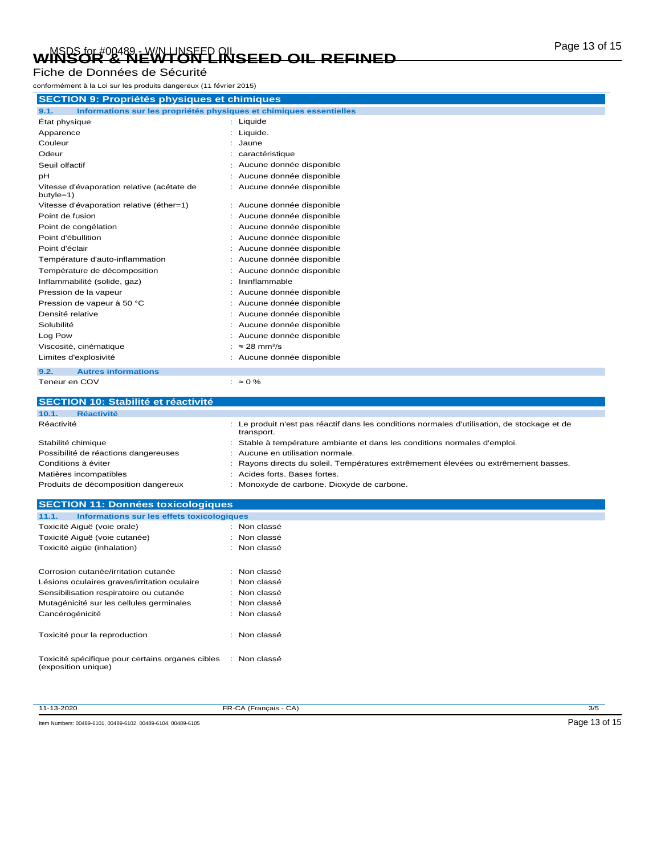# Page 13 of 15 MSDS for #00489 - W/N LINSEED OIL **WINSOR & NEWTON LINSEED OIL REFINED**

Fiche de Données de Sécurité

| conformément à la Loi sur les produits dangereux (11 février 2015)          |                                 |  |  |
|-----------------------------------------------------------------------------|---------------------------------|--|--|
| <b>SECTION 9: Propriétés physiques et chimiques</b>                         |                                 |  |  |
| 9.1.<br>Informations sur les propriétés physiques et chimiques essentielles |                                 |  |  |
| État physique                                                               | : Liquide                       |  |  |
| Apparence                                                                   | : Liquide.                      |  |  |
| Couleur                                                                     | Jaune                           |  |  |
| Odeur                                                                       | : caractéristique               |  |  |
| Seuil olfactif                                                              | Aucune donnée disponible        |  |  |
| pH                                                                          | : Aucune donnée disponible      |  |  |
| Vitesse d'évaporation relative (acétate de<br>butyle=1)                     | : Aucune donnée disponible      |  |  |
| Vitesse d'évaporation relative (éther=1)                                    | : Aucune donnée disponible      |  |  |
| Point de fusion                                                             | Aucune donnée disponible        |  |  |
| Point de congélation                                                        | Aucune donnée disponible        |  |  |
| Point d'ébullition                                                          | Aucune donnée disponible        |  |  |
| Point d'éclair                                                              | Aucune donnée disponible        |  |  |
| Température d'auto-inflammation                                             | : Aucune donnée disponible      |  |  |
| Température de décomposition                                                | Aucune donnée disponible        |  |  |
| Inflammabilité (solide, gaz)                                                | Ininflammable                   |  |  |
| Pression de la vapeur                                                       | Aucune donnée disponible        |  |  |
| Pression de vapeur à 50 °C                                                  | Aucune donnée disponible        |  |  |
| Densité relative                                                            | Aucune donnée disponible        |  |  |
| Solubilité                                                                  | Aucune donnée disponible        |  |  |
| Log Pow                                                                     | Aucune donnée disponible        |  |  |
| Viscosité, cinématique                                                      | $\approx$ 28 mm <sup>2</sup> /s |  |  |
| Limites d'explosivité                                                       | : Aucune donnée disponible      |  |  |
| 9.2.<br><b>Autres informations</b>                                          |                                 |  |  |
| Teneur en COV                                                               | : $\approx 0\%$                 |  |  |

| <b>SECTION 10: Stabilité et réactivité</b> |                                                                                                            |
|--------------------------------------------|------------------------------------------------------------------------------------------------------------|
| 10.1.<br><b>Réactivité</b>                 |                                                                                                            |
| Réactivité                                 | : Le produit n'est pas réactif dans les conditions normales d'utilisation, de stockage et de<br>transport. |
| Stabilité chimique                         | : Stable à température ambiante et dans les conditions normales d'emploi.                                  |
| Possibilité de réactions dangereuses       | : Aucune en utilisation normale.                                                                           |
| Conditions à éviter                        | : Rayons directs du soleil. Températures extrêmement élevées ou extrêmement basses.                        |
| Matières incompatibles                     | : Acides forts, Bases fortes.                                                                              |
| Produits de décomposition dangereux        | : Monoxyde de carbone. Dioxyde de carbone.                                                                 |

| <b>SECTION 11: Données toxicologiques</b>                                            |              |
|--------------------------------------------------------------------------------------|--------------|
| 11.1.<br>Informations sur les effets toxicologiques                                  |              |
| Toxicité Aiguë (voie orale)                                                          | : Non classé |
| Toxicité Aiguë (voie cutanée)                                                        | : Non classé |
| Toxicité aigüe (inhalation)                                                          | : Non classé |
| Corrosion cutanée/irritation cutanée                                                 | : Non classé |
| Lésions oculaires graves/irritation oculaire                                         | : Non classé |
| Sensibilisation respiratoire ou cutanée                                              | : Non classé |
| Mutagénicité sur les cellules germinales                                             | : Non classé |
| Cancérogénicité                                                                      | : Non classé |
| Toxicité pour la reproduction                                                        | : Non classé |
| Toxicité spécifique pour certains organes cibles : Non classé<br>(exposition unique) |              |

| -13-2020 |
|----------|

11-13-2020 FR-CA (Français - CA) 3/5

Item Numbers: 00489-6101, 00489-6102, 00489-6104, 00489-6105 Page 13 of 15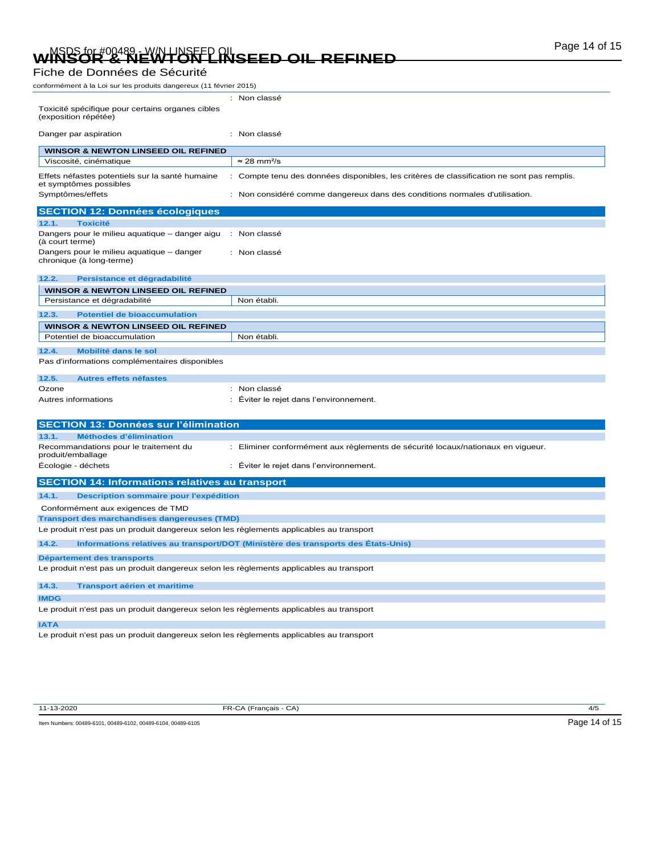# Page 14 of 15 MSDS for #00489 - W/N LINSEED OIL **WINSOR & NEWTON LINSEED OIL REFINED**

### Fiche de Données de Sécurité

conformément à la Loi sur les produits dangereux (11 février 2015)

| Toxicité spécifique pour certains organes cibles<br>(exposition répétée)                                                                       | : Non classé                                                                               |
|------------------------------------------------------------------------------------------------------------------------------------------------|--------------------------------------------------------------------------------------------|
| Danger par aspiration                                                                                                                          | : Non classé                                                                               |
| <b>WINSOR &amp; NEWTON LINSEED OIL REFINED</b>                                                                                                 |                                                                                            |
| Viscosité, cinématique                                                                                                                         | $\approx$ 28 mm <sup>2</sup> /s                                                            |
| Effets néfastes potentiels sur la santé humaine<br>et symptômes possibles                                                                      | : Compte tenu des données disponibles, les critères de classification ne sont pas remplis. |
| Symptômes/effets                                                                                                                               | : Non considéré comme dangereux dans des conditions normales d'utilisation.                |
| <b>SECTION 12: Données écologiques</b>                                                                                                         |                                                                                            |
| <b>Toxicité</b><br>12.1.                                                                                                                       |                                                                                            |
| Dangers pour le milieu aquatique - danger aigu<br>(à court terme)                                                                              | : Non classé                                                                               |
| Dangers pour le milieu aquatique - danger<br>chronique (à long-terme)                                                                          | : Non classé                                                                               |
| 12.2.<br>Persistance et dégradabilité                                                                                                          |                                                                                            |
| <b>WINSOR &amp; NEWTON LINSEED OIL REFINED</b>                                                                                                 |                                                                                            |
| Persistance et dégradabilité                                                                                                                   | Non établi.                                                                                |
| <b>Potentiel de bioaccumulation</b><br>12.3.                                                                                                   |                                                                                            |
| <b>WINSOR &amp; NEWTON LINSEED OIL REFINED</b>                                                                                                 |                                                                                            |
| Potentiel de bioaccumulation                                                                                                                   | Non établi.                                                                                |
| Mobilité dans le sol<br>12.4.                                                                                                                  |                                                                                            |
| Pas d'informations complémentaires disponibles                                                                                                 |                                                                                            |
| 12.5.<br><b>Autres effets néfastes</b>                                                                                                         |                                                                                            |
| Ozone                                                                                                                                          | : Non classé                                                                               |
| Autres informations                                                                                                                            | Éviter le rejet dans l'environnement.<br>٠                                                 |
|                                                                                                                                                |                                                                                            |
| <b>SECTION 13: Données sur l'élimination</b>                                                                                                   |                                                                                            |
| Méthodes d'élimination<br>13.1.                                                                                                                |                                                                                            |
| Recommandations pour le traitement du<br>produit/emballage                                                                                     | : Eliminer conformément aux règlements de sécurité locaux/nationaux en vigueur.            |
| Écologie - déchets                                                                                                                             | Éviter le rejet dans l'environnement.<br>÷                                                 |
|                                                                                                                                                |                                                                                            |
| <b>SECTION 14: Informations relatives au transport</b>                                                                                         |                                                                                            |
| 14.1.                                                                                                                                          |                                                                                            |
| Description sommaire pour l'expédition                                                                                                         |                                                                                            |
| Conformément aux exigences de TMD                                                                                                              |                                                                                            |
| <b>Transport des marchandises dangereuses (TMD)</b><br>Le produit n'est pas un produit dangereux selon les règlements applicables au transport |                                                                                            |
| 14.2.                                                                                                                                          | Informations relatives au transport/DOT (Ministère des transports des États-Unis)          |
| Département des transports                                                                                                                     |                                                                                            |
| Le produit n'est pas un produit dangereux selon les règlements applicables au transport                                                        |                                                                                            |
| 14.3.<br><b>Transport aérien et maritime</b>                                                                                                   |                                                                                            |
| <b>IMDG</b>                                                                                                                                    |                                                                                            |
| Le produit n'est pas un produit dangereux selon les règlements applicables au transport                                                        |                                                                                            |
| <b>IATA</b><br>Le produit n'est pas un produit dangereux selon les règlements applicables au transport                                         |                                                                                            |

11-13-2020 FR-CA (Français - CA) 4/5

Item Numbers: 00489-6101, 00489-6102, 00489-6104, 00489-6105 Page 14 of 15